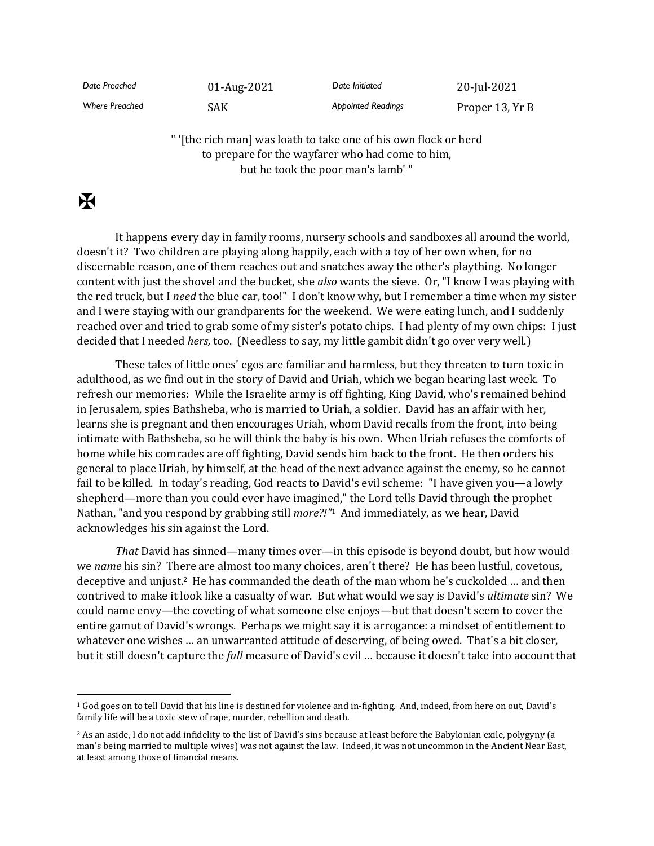*Date Preached* 01-Aug-2021 *Date Initiated* 20-Jul-2021

*Where Preached* SAK *Appointed Readings* Proper 13, Yr B

" '[the rich man] was loath to take one of his own flock or herd to prepare for the wayfarer who had come to him, but he took the poor man's lamb' "

## $\mathbf K$

It happens every day in family rooms, nursery schools and sandboxes all around the world, doesn't it? Two children are playing along happily, each with a toy of her own when, for no discernable reason, one of them reaches out and snatches away the other's plaything. No longer content with just the shovel and the bucket, she *also* wants the sieve. Or, "I know I was playing with the red truck, but I *need* the blue car, too!" I don't know why, but I remember a time when my sister and I were staying with our grandparents for the weekend. We were eating lunch, and I suddenly reached over and tried to grab some of my sister's potato chips. I had plenty of my own chips: I just decided that I needed *hers,* too. (Needless to say, my little gambit didn't go over very well.)

These tales of little ones' egos are familiar and harmless, but they threaten to turn toxic in adulthood, as we find out in the story of David and Uriah, which we began hearing last week. To refresh our memories: While the Israelite army is off fighting, King David, who's remained behind in Jerusalem, spies Bathsheba, who is married to Uriah, a soldier. David has an affair with her, learns she is pregnant and then encourages Uriah, whom David recalls from the front, into being intimate with Bathsheba, so he will think the baby is his own. When Uriah refuses the comforts of home while his comrades are off fighting, David sends him back to the front. He then orders his general to place Uriah, by himself, at the head of the next advance against the enemy, so he cannot fail to be killed. In today's reading, God reacts to David's evil scheme: "I have given you—a lowly shepherd—more than you could ever have imagined," the Lord tells David through the prophet Nathan, "and you respond by grabbing still *more?!"* <sup>1</sup> And immediately, as we hear, David acknowledges his sin against the Lord.

*That* David has sinned—many times over—in this episode is beyond doubt, but how would we *name* his sin? There are almost too many choices, aren't there? He has been lustful, covetous, deceptive and unjust.<sup>2</sup> He has commanded the death of the man whom he's cuckolded … and then contrived to make it look like a casualty of war. But what would we say is David's *ultimate* sin? We could name envy—the coveting of what someone else enjoys—but that doesn't seem to cover the entire gamut of David's wrongs. Perhaps we might say it is arrogance: a mindset of entitlement to whatever one wishes ... an unwarranted attitude of deserving, of being owed. That's a bit closer, but it still doesn't capture the *full* measure of David's evil … because it doesn't take into account that

<sup>1</sup> God goes on to tell David that his line is destined for violence and in-fighting. And, indeed, from here on out, David's family life will be a toxic stew of rape, murder, rebellion and death.

<sup>&</sup>lt;sup>2</sup> As an aside, I do not add infidelity to the list of David's sins because at least before the Babylonian exile, polygyny (a man's being married to multiple wives) was not against the law. Indeed, it was not uncommon in the Ancient Near East, at least among those of financial means.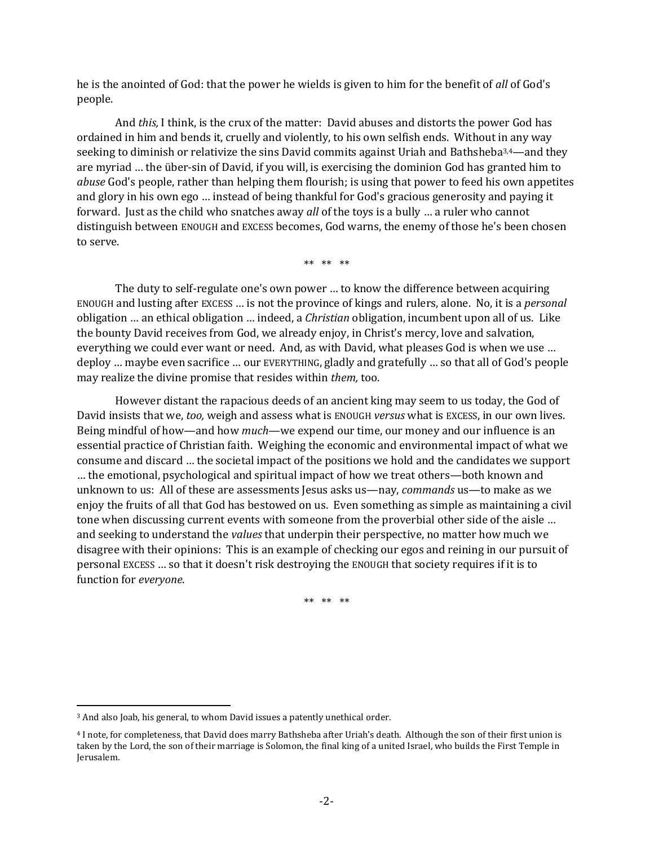he is the anointed of God: that the power he wields is given to him for the benefit of *all* of God's people.

And *this,* I think, is the crux of the matter: David abuses and distorts the power God has ordained in him and bends it, cruelly and violently, to his own selfish ends. Without in any way seeking to diminish or relativize the sins David commits against Uriah and Bathsheba<sup>3,4</sup>—and they are myriad … the über-sin of David, if you will, is exercising the dominion God has granted him to *abuse* God's people, rather than helping them flourish; is using that power to feed his own appetites and glory in his own ego … instead of being thankful for God's gracious generosity and paying it forward. Just as the child who snatches away *all* of the toys is a bully … a ruler who cannot distinguish between ENOUGH and EXCESS becomes, God warns, the enemy of those he's been chosen to serve.

\*\* \*\* \*\*

The duty to self-regulate one's own power … to know the difference between acquiring ENOUGH and lusting after EXCESS … is not the province of kings and rulers, alone. No, it is a *personal* obligation … an ethical obligation … indeed, a *Christian* obligation, incumbent upon all of us. Like the bounty David receives from God, we already enjoy, in Christ's mercy, love and salvation, everything we could ever want or need. And, as with David, what pleases God is when we use … deploy … maybe even sacrifice … our EVERYTHING, gladly and gratefully … so that all of God's people may realize the divine promise that resides within *them,* too.

However distant the rapacious deeds of an ancient king may seem to us today, the God of David insists that we, *too,* weigh and assess what is ENOUGH *versus* what is EXCESS, in our own lives. Being mindful of how—and how *much*—we expend our time, our money and our influence is an essential practice of Christian faith. Weighing the economic and environmental impact of what we consume and discard … the societal impact of the positions we hold and the candidates we support … the emotional, psychological and spiritual impact of how we treat others—both known and unknown to us: All of these are assessments Jesus asks us—nay, *commands* us—to make as we enjoy the fruits of all that God has bestowed on us. Even something as simple as maintaining a civil tone when discussing current events with someone from the proverbial other side of the aisle … and seeking to understand the *values* that underpin their perspective, no matter how much we disagree with their opinions: This is an example of checking our egos and reining in our pursuit of personal EXCESS … so that it doesn't risk destroying the ENOUGH that society requires if it is to function for *everyone*.

\*\* \*\* \*\*

<sup>3</sup> And also Joab, his general, to whom David issues a patently unethical order.

<sup>4</sup> I note, for completeness, that David does marry Bathsheba after Uriah's death. Although the son of their first union is taken by the Lord, the son of their marriage is Solomon, the final king of a united Israel, who builds the First Temple in Jerusalem.